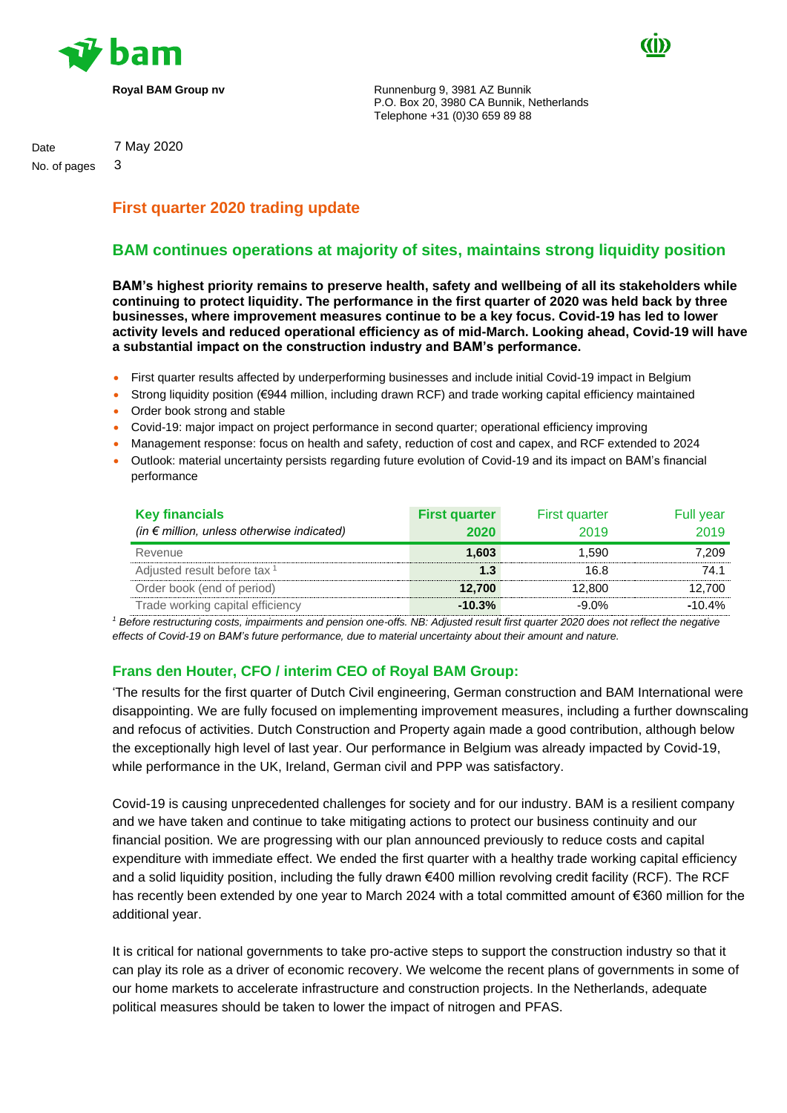



**Royal BAM Group nv Runnenburg 9, 3981 AZ Bunnik** P.O. Box 20, 3980 CA Bunnik, Netherlands Telephone +31 (0)30 659 89 88

Date 7 May 2020

No. of pages 3

# **First quarter 2020 trading update**

# **BAM continues operations at majority of sites, maintains strong liquidity position**

**BAM's highest priority remains to preserve health, safety and wellbeing of all its stakeholders while continuing to protect liquidity. The performance in the first quarter of 2020 was held back by three businesses, where improvement measures continue to be a key focus. Covid-19 has led to lower activity levels and reduced operational efficiency as of mid-March. Looking ahead, Covid-19 will have a substantial impact on the construction industry and BAM's performance.** 

- First quarter results affected by underperforming businesses and include initial Covid-19 impact in Belgium
- Strong liquidity position (€944 million, including drawn RCF) and trade working capital efficiency maintained
- Order book strong and stable
- Covid-19: major impact on project performance in second quarter; operational efficiency improving
- Management response: focus on health and safety, reduction of cost and capex, and RCF extended to 2024
- Outlook: material uncertainty persists regarding future evolution of Covid-19 and its impact on BAM's financial performance

| <b>Key financials</b><br>(in $\epsilon$ million, unless otherwise indicated) | <b>First quarter</b><br>2020 | <b>First quarter</b><br>2019 | Full year<br>2019 |
|------------------------------------------------------------------------------|------------------------------|------------------------------|-------------------|
| Revenue                                                                      | 1.603                        | 1.590                        | 7.209             |
| Adjusted result before tax <sup>1</sup>                                      | 1.3                          | 16.8                         | 74.1              |
| Order book (end of period)                                                   | 12.700                       | 12,800                       | 12.700            |
| Trade working capital efficiency                                             | $-10.3%$                     | $-9.0\%$                     | $-10.4%$          |

*<sup>1</sup> Before restructuring costs, impairments and pension one-offs. NB: Adjusted result first quarter 2020 does not reflect the negative effects of Covid-19 on BAM's future performance, due to material uncertainty about their amount and nature.*

## **Frans den Houter, CFO / interim CEO of Royal BAM Group:**

'The results for the first quarter of Dutch Civil engineering, German construction and BAM International were disappointing. We are fully focused on implementing improvement measures, including a further downscaling and refocus of activities. Dutch Construction and Property again made a good contribution, although below the exceptionally high level of last year. Our performance in Belgium was already impacted by Covid-19, while performance in the UK, Ireland, German civil and PPP was satisfactory.

Covid-19 is causing unprecedented challenges for society and for our industry. BAM is a resilient company and we have taken and continue to take mitigating actions to protect our business continuity and our financial position. We are progressing with our plan announced previously to reduce costs and capital expenditure with immediate effect. We ended the first quarter with a healthy trade working capital efficiency and a solid liquidity position, including the fully drawn €400 million revolving credit facility (RCF). The RCF has recently been extended by one year to March 2024 with a total committed amount of €360 million for the additional year.

It is critical for national governments to take pro-active steps to support the construction industry so that it can play its role as a driver of economic recovery. We welcome the recent plans of governments in some of our home markets to accelerate infrastructure and construction projects. In the Netherlands, adequate political measures should be taken to lower the impact of nitrogen and PFAS.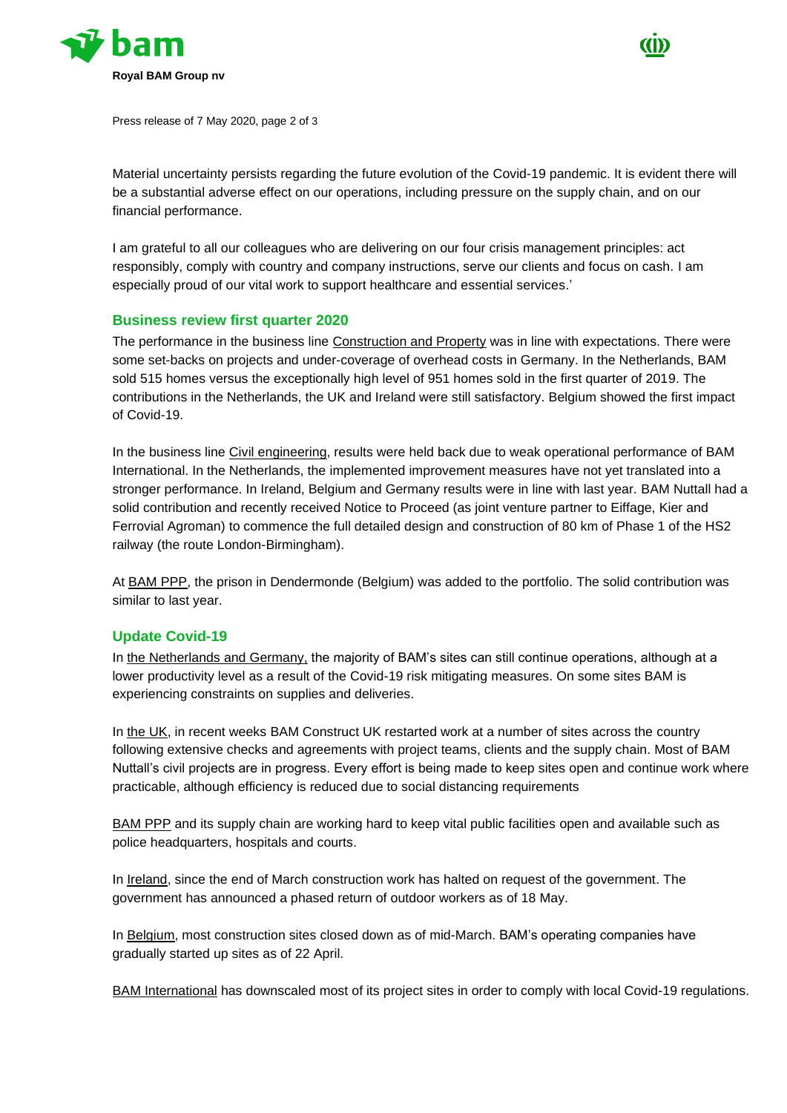



Press release of 7 May 2020, page 2 of 3

Material uncertainty persists regarding the future evolution of the Covid-19 pandemic. It is evident there will be a substantial adverse effect on our operations, including pressure on the supply chain, and on our financial performance.

I am grateful to all our colleagues who are delivering on our four crisis management principles: act responsibly, comply with country and company instructions, serve our clients and focus on cash. I am especially proud of our vital work to support healthcare and essential services.'

#### **Business review first quarter 2020**

The performance in the business line Construction and Property was in line with expectations. There were some set-backs on projects and under-coverage of overhead costs in Germany. In the Netherlands, BAM sold 515 homes versus the exceptionally high level of 951 homes sold in the first quarter of 2019. The contributions in the Netherlands, the UK and Ireland were still satisfactory. Belgium showed the first impact of Covid-19.

In the business line Civil engineering, results were held back due to weak operational performance of BAM International. In the Netherlands, the implemented improvement measures have not yet translated into a stronger performance. In Ireland, Belgium and Germany results were in line with last year. BAM Nuttall had a solid contribution and recently received Notice to Proceed (as joint venture partner to Eiffage, Kier and Ferrovial Agroman) to commence the full detailed design and construction of 80 km of Phase 1 of the HS2 railway (the route London-Birmingham).

At BAM PPP, the prison in Dendermonde (Belgium) was added to the portfolio. The solid contribution was similar to last year.

### **Update Covid-19**

In the Netherlands and Germany, the majority of BAM's sites can still continue operations, although at a lower productivity level as a result of the Covid-19 risk mitigating measures. On some sites BAM is experiencing constraints on supplies and deliveries.

In the UK, in recent weeks BAM Construct UK restarted work at a number of sites across the country following extensive checks and agreements with project teams, clients and the supply chain. Most of BAM Nuttall's civil projects are in progress. Every effort is being made to keep sites open and continue work where practicable, although efficiency is reduced due to social distancing requirements

BAM PPP and its supply chain are working hard to keep vital public facilities open and available such as police headquarters, hospitals and courts.

In Ireland, since the end of March construction work has halted on request of the government. The government has announced a phased return of outdoor workers as of 18 May.

In Belgium, most construction sites closed down as of mid-March. BAM's operating companies have gradually started up sites as of 22 April.

BAM International has downscaled most of its project sites in order to comply with local Covid-19 regulations.